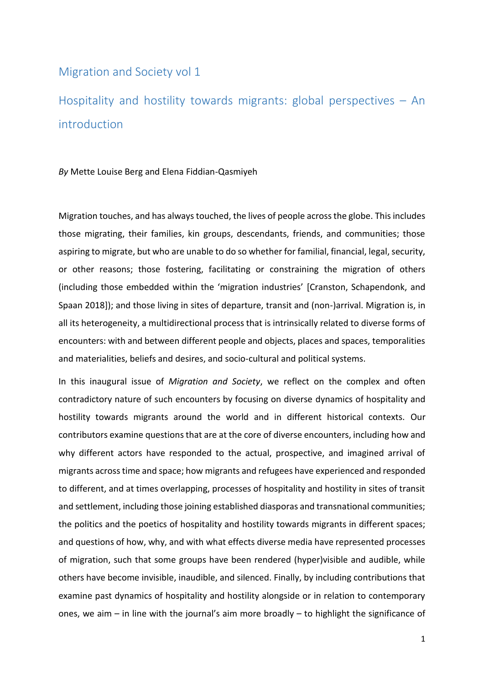## Migration and Society vol 1

Hospitality and hostility towards migrants: global perspectives – An introduction

*By* Mette Louise Berg and Elena Fiddian-Qasmiyeh

Migration touches, and has always touched, the lives of people across the globe. This includes those migrating, their families, kin groups, descendants, friends, and communities; those aspiring to migrate, but who are unable to do so whether for familial, financial, legal, security, or other reasons; those fostering, facilitating or constraining the migration of others (including those embedded within the 'migration industries' [Cranston, Schapendonk, and Spaan 2018]); and those living in sites of departure, transit and (non-)arrival. Migration is, in all its heterogeneity, a multidirectional process that is intrinsically related to diverse forms of encounters: with and between different people and objects, places and spaces, temporalities and materialities, beliefs and desires, and socio-cultural and political systems.

In this inaugural issue of *Migration and Society*, we reflect on the complex and often contradictory nature of such encounters by focusing on diverse dynamics of hospitality and hostility towards migrants around the world and in different historical contexts. Our contributors examine questions that are at the core of diverse encounters, including how and why different actors have responded to the actual, prospective, and imagined arrival of migrants across time and space; how migrants and refugees have experienced and responded to different, and at times overlapping, processes of hospitality and hostility in sites of transit and settlement, including those joining established diasporas and transnational communities; the politics and the poetics of hospitality and hostility towards migrants in different spaces; and questions of how, why, and with what effects diverse media have represented processes of migration, such that some groups have been rendered (hyper)visible and audible, while others have become invisible, inaudible, and silenced. Finally, by including contributions that examine past dynamics of hospitality and hostility alongside or in relation to contemporary ones, we aim – in line with the journal's aim more broadly – to highlight the significance of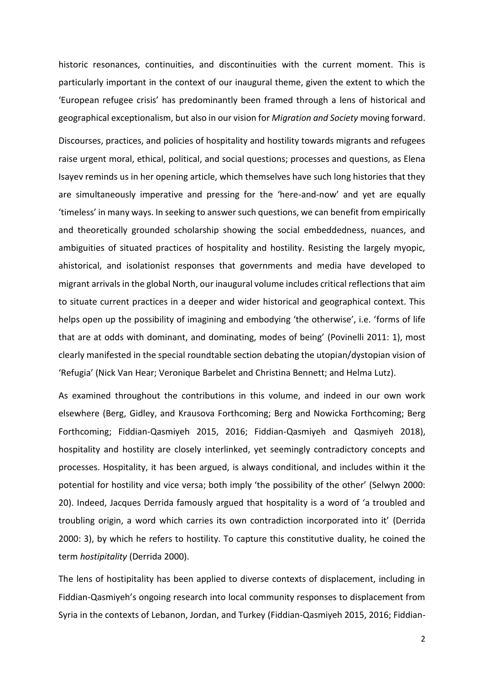historic resonances, continuities, and discontinuities with the current moment. This is particularly important in the context of our inaugural theme, given the extent to which the 'European refugee crisis' has predominantly been framed through a lens of historical and geographical exceptionalism, but also in our vision for *Migration and Society* moving forward.

Discourses, practices, and policies of hospitality and hostility towards migrants and refugees raise urgent moral, ethical, political, and social questions; processes and questions, as Elena Isayev reminds us in her opening article, which themselves have such long histories that they are simultaneously imperative and pressing for the 'here-and-now' and yet are equally 'timeless' in many ways. In seeking to answer such questions, we can benefit from empirically and theoretically grounded scholarship showing the social embeddedness, nuances, and ambiguities of situated practices of hospitality and hostility. Resisting the largely myopic, ahistorical, and isolationist responses that governments and media have developed to migrant arrivals in the global North, our inaugural volume includes critical reflections that aim to situate current practices in a deeper and wider historical and geographical context. This helps open up the possibility of imagining and embodying 'the otherwise', i.e. 'forms of life that are at odds with dominant, and dominating, modes of being' (Povinelli 2011: 1), most clearly manifested in the special roundtable section debating the utopian/dystopian vision of 'Refugia' (Nick Van Hear; Veronique Barbelet and Christina Bennett; and Helma Lutz).

As examined throughout the contributions in this volume, and indeed in our own work elsewhere (Berg, Gidley, and Krausova Forthcoming; Berg and Nowicka Forthcoming; Berg Forthcoming; Fiddian-Qasmiyeh 2015, 2016; Fiddian-Qasmiyeh and Qasmiyeh 2018), hospitality and hostility are closely interlinked, yet seemingly contradictory concepts and processes. Hospitality, it has been argued, is always conditional, and includes within it the potential for hostility and vice versa; both imply 'the possibility of the other' (Selwyn 2000: 20). Indeed, Jacques Derrida famously argued that hospitality is a word of 'a troubled and troubling origin, a word which carries its own contradiction incorporated into it' (Derrida 2000: 3), by which he refers to hostility. To capture this constitutive duality, he coined the term *hostipitality* (Derrida 2000).

The lens of hostipitality has been applied to diverse contexts of displacement, including in Fiddian-Qasmiyeh's ongoing research into local community responses to displacement from Syria in the contexts of Lebanon, Jordan, and Turkey (Fiddian-Qasmiyeh 2015, 2016; Fiddian-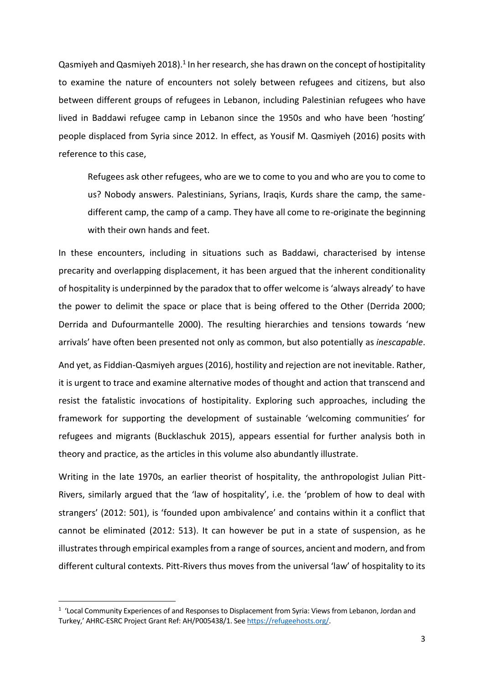Qasmiyeh and Qasmiyeh 2018).<sup>1</sup> In her research, she has drawn on the concept of hostipitality to examine the nature of encounters not solely between refugees and citizens, but also between different groups of refugees in Lebanon, including Palestinian refugees who have lived in Baddawi refugee camp in Lebanon since the 1950s and who have been 'hosting' people displaced from Syria since 2012. In effect, as Yousif M. Qasmiyeh (2016) posits with reference to this case,

Refugees ask other refugees, who are we to come to you and who are you to come to us? Nobody answers. Palestinians, Syrians, Iraqis, Kurds share the camp, the samedifferent camp, the camp of a camp. They have all come to re-originate the beginning with their own hands and feet.

In these encounters, including in situations such as Baddawi, characterised by intense precarity and overlapping displacement, it has been argued that the inherent conditionality of hospitality is underpinned by the paradox that to offer welcome is 'always already' to have the power to delimit the space or place that is being offered to the Other (Derrida 2000; Derrida and Dufourmantelle 2000). The resulting hierarchies and tensions towards 'new arrivals' have often been presented not only as common, but also potentially as *inescapable*.

And yet, as Fiddian-Qasmiyeh argues (2016), hostility and rejection are not inevitable. Rather, it is urgent to trace and examine alternative modes of thought and action that transcend and resist the fatalistic invocations of hostipitality. Exploring such approaches, including the framework for supporting the development of sustainable 'welcoming communities' for refugees and migrants (Bucklaschuk 2015), appears essential for further analysis both in theory and practice, as the articles in this volume also abundantly illustrate.

Writing in the late 1970s, an earlier theorist of hospitality, the anthropologist Julian Pitt-Rivers, similarly argued that the 'law of hospitality', i.e. the 'problem of how to deal with strangers' (2012: 501), is 'founded upon ambivalence' and contains within it a conflict that cannot be eliminated (2012: 513). It can however be put in a state of suspension, as he illustrates through empirical examples from a range of sources, ancient and modern, and from different cultural contexts. Pitt-Rivers thus moves from the universal 'law' of hospitality to its

1

<sup>&</sup>lt;sup>1</sup> 'Local Community Experiences of and Responses to Displacement from Syria: Views from Lebanon, Jordan and Turkey,' AHRC-ESRC Project Grant Ref: AH/P005438/1. Se[e https://refugeehosts.org/.](https://refugeehosts.org/)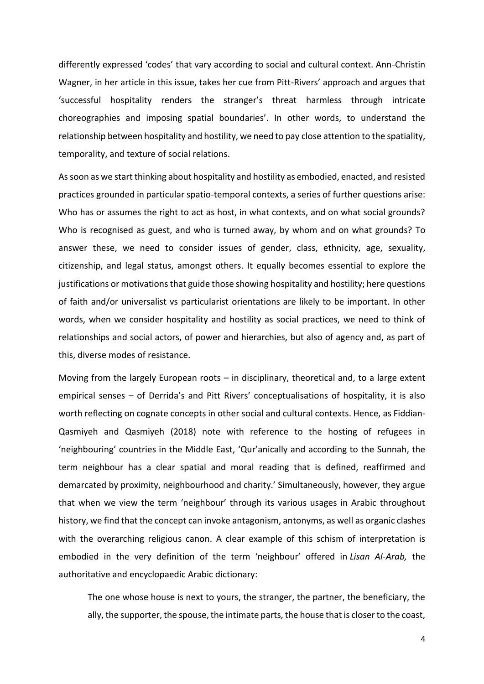differently expressed 'codes' that vary according to social and cultural context. Ann-Christin Wagner, in her article in this issue, takes her cue from Pitt-Rivers' approach and argues that 'successful hospitality renders the stranger's threat harmless through intricate choreographies and imposing spatial boundaries'. In other words, to understand the relationship between hospitality and hostility, we need to pay close attention to the spatiality, temporality, and texture of social relations.

As soon as we start thinking about hospitality and hostility as embodied, enacted, and resisted practices grounded in particular spatio-temporal contexts, a series of further questions arise: Who has or assumes the right to act as host, in what contexts, and on what social grounds? Who is recognised as guest, and who is turned away, by whom and on what grounds? To answer these, we need to consider issues of gender, class, ethnicity, age, sexuality, citizenship, and legal status, amongst others. It equally becomes essential to explore the justifications or motivations that guide those showing hospitality and hostility; here questions of faith and/or universalist vs particularist orientations are likely to be important. In other words, when we consider hospitality and hostility as social practices, we need to think of relationships and social actors, of power and hierarchies, but also of agency and, as part of this, diverse modes of resistance.

Moving from the largely European roots – in disciplinary, theoretical and, to a large extent empirical senses – of Derrida's and Pitt Rivers' conceptualisations of hospitality, it is also worth reflecting on cognate concepts in other social and cultural contexts. Hence, as Fiddian-Qasmiyeh and Qasmiyeh (2018) note with reference to the hosting of refugees in 'neighbouring' countries in the Middle East, 'Qur'anically and according to the Sunnah, the term neighbour has a clear spatial and moral reading that is defined, reaffirmed and demarcated by proximity, neighbourhood and charity.' Simultaneously, however, they argue that when we view the term 'neighbour' through its various usages in Arabic throughout history, we find that the concept can invoke antagonism, antonyms, as well as organic clashes with the overarching religious canon. A clear example of this schism of interpretation is embodied in the very definition of the term 'neighbour' offered in *[Lisan Al-Arab,](http://www.baheth.info/)* the authoritative and encyclopaedic Arabic dictionary:

The one whose house is next to yours, the stranger, the partner, the beneficiary, the ally, the supporter, the spouse, the intimate parts, the house that is closer to the coast,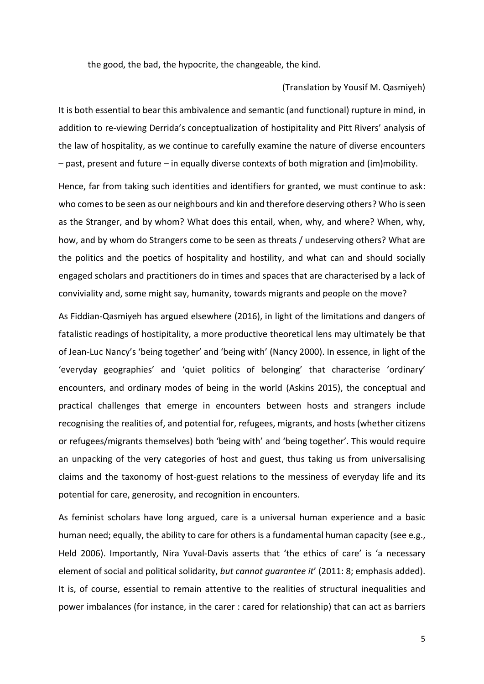the good, the bad, the hypocrite, the changeable, the kind.

## (Translation by Yousif M. Qasmiyeh)

It is both essential to bear this ambivalence and semantic (and functional) rupture in mind, in addition to re-viewing Derrida's conceptualization of hostipitality and Pitt Rivers' analysis of the law of hospitality, as we continue to carefully examine the nature of diverse encounters – past, present and future – in equally diverse contexts of both migration and (im)mobility.

Hence, far from taking such identities and identifiers for granted, we must continue to ask: who comes to be seen as our neighbours and kin and therefore deserving others? Who is seen as the Stranger, and by whom? What does this entail, when, why, and where? When, why, how, and by whom do Strangers come to be seen as threats / undeserving others? What are the politics and the poetics of hospitality and hostility, and what can and should socially engaged scholars and practitioners do in times and spaces that are characterised by a lack of conviviality and, some might say, humanity, towards migrants and people on the move?

As Fiddian-Qasmiyeh has argued elsewhere (2016), in light of the limitations and dangers of fatalistic readings of hostipitality, a more productive theoretical lens may ultimately be that of Jean-Luc Nancy's 'being together' and 'being with' (Nancy 2000). In essence, in light of the 'everyday geographies' and 'quiet politics of belonging' that characterise 'ordinary' encounters, and ordinary modes of being in the world (Askins 2015), the conceptual and practical challenges that emerge in encounters between hosts and strangers include recognising the realities of, and potential for, refugees, migrants, and hosts (whether citizens or refugees/migrants themselves) both 'being with' and 'being together'. This would require an unpacking of the very categories of host and guest, thus taking us from universalising claims and the taxonomy of host-guest relations to the messiness of everyday life and its potential for care, generosity, and recognition in encounters.

As feminist scholars have long argued, care is a universal human experience and a basic human need; equally, the ability to care for others is a fundamental human capacity (see e.g., Held 2006). Importantly, Nira Yuval-Davis asserts that 'the ethics of care' is 'a necessary element of social and political solidarity, *but cannot guarantee it*' (2011: 8; emphasis added). It is, of course, essential to remain attentive to the realities of structural inequalities and power imbalances (for instance, in the carer : cared for relationship) that can act as barriers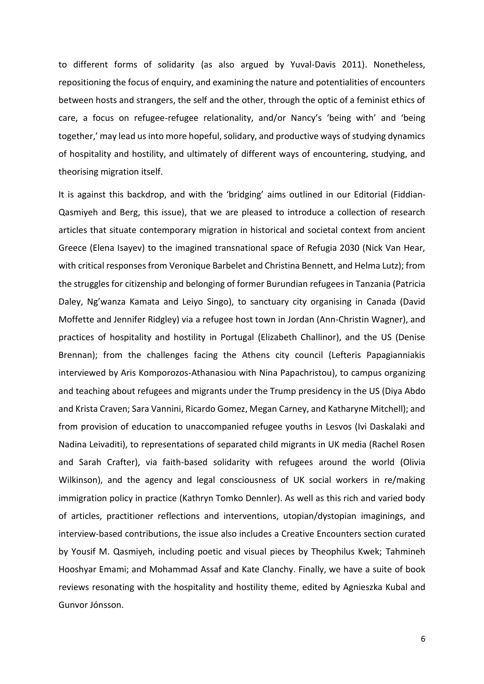to different forms of solidarity (as also argued by Yuval-Davis 2011). Nonetheless, repositioning the focus of enquiry, and examining the nature and potentialities of encounters between hosts and strangers, the self and the other, through the optic of a feminist ethics of care, a focus on refugee-refugee relationality, and/or Nancy's 'being with' and 'being together,' may lead us into more hopeful, solidary, and productive ways of studying dynamics of hospitality and hostility, and ultimately of different ways of encountering, studying, and theorising migration itself.

It is against this backdrop, and with the 'bridging' aims outlined in our Editorial (Fiddian-Qasmiyeh and Berg, this issue), that we are pleased to introduce a collection of research articles that situate contemporary migration in historical and societal context from ancient Greece (Elena Isayev) to the imagined transnational space of Refugia 2030 (Nick Van Hear, with critical responses from Veronique Barbelet and Christina Bennett, and Helma Lutz); from the struggles for citizenship and belonging of former Burundian refugees in Tanzania (Patricia Daley, Ng'wanza Kamata and Leiyo Singo), to sanctuary city organising in Canada (David Moffette and Jennifer Ridgley) via a refugee host town in Jordan (Ann-Christin Wagner), and practices of hospitality and hostility in Portugal (Elizabeth Challinor), and the US (Denise Brennan); from the challenges facing the Athens city council (Lefteris Papagianniakis interviewed by Aris Komporozos-Athanasiou with Nina Papachristou), to campus organizing and teaching about refugees and migrants under the Trump presidency in the US (Diya Abdo and Krista Craven; Sara Vannini, Ricardo Gomez, Megan Carney, and Katharyne Mitchell); and from provision of education to unaccompanied refugee youths in Lesvos (Ivi Daskalaki and Nadina Leivaditi), to representations of separated child migrants in UK media (Rachel Rosen and Sarah Crafter), via faith-based solidarity with refugees around the world (Olivia Wilkinson), and the agency and legal consciousness of UK social workers in re/making immigration policy in practice (Kathryn Tomko Dennler). As well as this rich and varied body of articles, practitioner reflections and interventions, utopian/dystopian imaginings, and interview-based contributions, the issue also includes a Creative Encounters section curated by Yousif M. Qasmiyeh, including poetic and visual pieces by Theophilus Kwek; Tahmineh Hooshyar Emami; and Mohammad Assaf and Kate Clanchy. Finally, we have a suite of book reviews resonating with the hospitality and hostility theme, edited by Agnieszka Kubal and Gunvor Jónsson.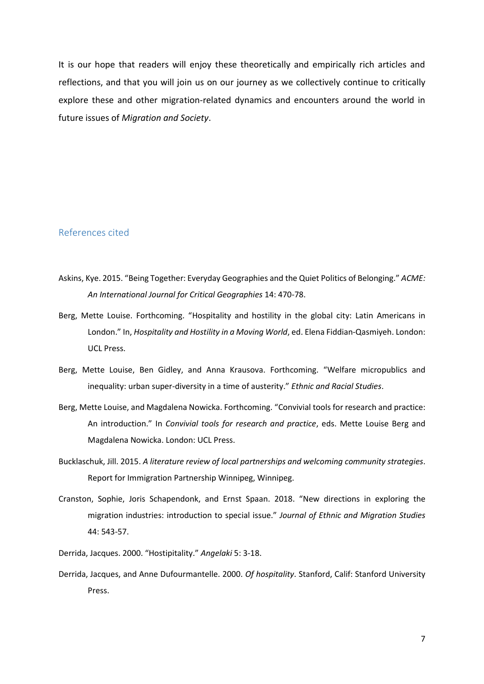It is our hope that readers will enjoy these theoretically and empirically rich articles and reflections, and that you will join us on our journey as we collectively continue to critically explore these and other migration-related dynamics and encounters around the world in future issues of *Migration and Society*.

## References cited

- Askins, Kye. 2015. "Being Together: Everyday Geographies and the Quiet Politics of Belonging." *ACME: An International Journal for Critical Geographies* 14: 470-78.
- Berg, Mette Louise. Forthcoming. "Hospitality and hostility in the global city: Latin Americans in London." In, *Hospitality and Hostility in a Moving World*, ed. Elena Fiddian-Qasmiyeh. London: UCL Press.
- Berg, Mette Louise, Ben Gidley, and Anna Krausova. Forthcoming. "Welfare micropublics and inequality: urban super-diversity in a time of austerity." *Ethnic and Racial Studies*.
- Berg, Mette Louise, and Magdalena Nowicka. Forthcoming. "Convivial tools for research and practice: An introduction." In *Convivial tools for research and practice*, eds. Mette Louise Berg and Magdalena Nowicka. London: UCL Press.
- Bucklaschuk, Jill. 2015. *A literature review of local partnerships and welcoming community strategies*. Report for Immigration Partnership Winnipeg, Winnipeg.
- Cranston, Sophie, Joris Schapendonk, and Ernst Spaan. 2018. "New directions in exploring the migration industries: introduction to special issue." *Journal of Ethnic and Migration Studies* 44: 543-57.
- Derrida, Jacques. 2000. "Hostipitality." *Angelaki* 5: 3-18.
- Derrida, Jacques, and Anne Dufourmantelle. 2000. *Of hospitality*. Stanford, Calif: Stanford University Press.